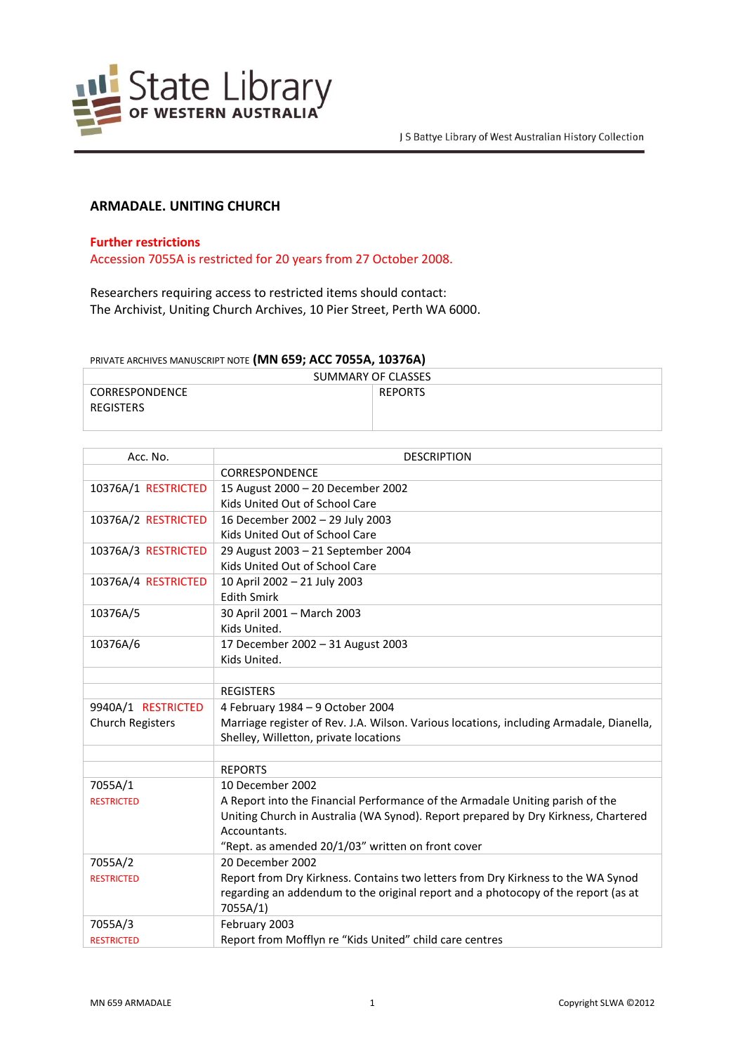

## **ARMADALE. UNITING CHURCH**

## **Further restrictions**

Accession 7055A is restricted for 20 years from 27 October 2008.

Researchers requiring access to restricted items should contact: The Archivist, Uniting Church Archives, 10 Pier Street, Perth WA 6000.

## PRIVATE ARCHIVES MANUSCRIPT NOTE **(MN 659; ACC 7055A, 10376A)**

| SUMMARY OF CLASSES                 |                |  |
|------------------------------------|----------------|--|
| CORRESPONDENCE<br><b>REGISTERS</b> | <b>REPORTS</b> |  |

| Acc. No.                | <b>DESCRIPTION</b>                                                                      |
|-------------------------|-----------------------------------------------------------------------------------------|
|                         | <b>CORRESPONDENCE</b>                                                                   |
| 10376A/1 RESTRICTED     | 15 August 2000 - 20 December 2002                                                       |
|                         | Kids United Out of School Care                                                          |
| 10376A/2 RESTRICTED     | 16 December 2002 - 29 July 2003                                                         |
|                         | Kids United Out of School Care                                                          |
| 10376A/3 RESTRICTED     | 29 August 2003 - 21 September 2004                                                      |
|                         | Kids United Out of School Care                                                          |
| 10376A/4 RESTRICTED     | 10 April 2002 - 21 July 2003                                                            |
|                         | <b>Edith Smirk</b>                                                                      |
| 10376A/5                | 30 April 2001 - March 2003                                                              |
|                         | Kids United.                                                                            |
| 10376A/6                | 17 December 2002 - 31 August 2003                                                       |
|                         | Kids United.                                                                            |
|                         |                                                                                         |
|                         | <b>REGISTERS</b>                                                                        |
| 9940A/1 RESTRICTED      | 4 February 1984 - 9 October 2004                                                        |
| <b>Church Registers</b> | Marriage register of Rev. J.A. Wilson. Various locations, including Armadale, Dianella, |
|                         | Shelley, Willetton, private locations                                                   |
|                         |                                                                                         |
|                         | <b>REPORTS</b>                                                                          |
| 7055A/1                 | 10 December 2002                                                                        |
| <b>RESTRICTED</b>       | A Report into the Financial Performance of the Armadale Uniting parish of the           |
|                         | Uniting Church in Australia (WA Synod). Report prepared by Dry Kirkness, Chartered      |
|                         | Accountants.                                                                            |
|                         | "Rept. as amended 20/1/03" written on front cover                                       |
| 7055A/2                 | 20 December 2002                                                                        |
| <b>RESTRICTED</b>       | Report from Dry Kirkness. Contains two letters from Dry Kirkness to the WA Synod        |
|                         | regarding an addendum to the original report and a photocopy of the report (as at       |
|                         | 7055A/1)                                                                                |
| 7055A/3                 | February 2003                                                                           |
| <b>RESTRICTED</b>       | Report from Mofflyn re "Kids United" child care centres                                 |